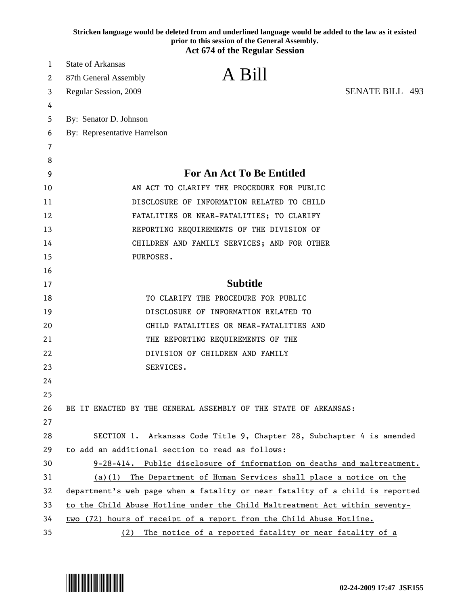|    | Stricken language would be deleted from and underlined language would be added to the law as it existed<br>prior to this session of the General Assembly. |
|----|-----------------------------------------------------------------------------------------------------------------------------------------------------------|
|    | <b>Act 674 of the Regular Session</b>                                                                                                                     |
| 1  | <b>State of Arkansas</b>                                                                                                                                  |
| 2  | A Bill<br>87th General Assembly                                                                                                                           |
| 3  | <b>SENATE BILL 493</b><br>Regular Session, 2009                                                                                                           |
| 4  |                                                                                                                                                           |
| 5  | By: Senator D. Johnson                                                                                                                                    |
| 6  | By: Representative Harrelson                                                                                                                              |
| 7  |                                                                                                                                                           |
| 8  |                                                                                                                                                           |
| 9  | <b>For An Act To Be Entitled</b>                                                                                                                          |
| 10 | AN ACT TO CLARIFY THE PROCEDURE FOR PUBLIC                                                                                                                |
| 11 | DISCLOSURE OF INFORMATION RELATED TO CHILD                                                                                                                |
| 12 | FATALITIES OR NEAR-FATALITIES; TO CLARIFY                                                                                                                 |
| 13 | REPORTING REQUIREMENTS OF THE DIVISION OF                                                                                                                 |
| 14 | CHILDREN AND FAMILY SERVICES; AND FOR OTHER                                                                                                               |
| 15 | PURPOSES.                                                                                                                                                 |
| 16 |                                                                                                                                                           |
| 17 | <b>Subtitle</b>                                                                                                                                           |
| 18 | TO CLARIFY THE PROCEDURE FOR PUBLIC                                                                                                                       |
| 19 | DISCLOSURE OF INFORMATION RELATED TO                                                                                                                      |
| 20 | CHILD FATALITIES OR NEAR-FATALITIES AND                                                                                                                   |
| 21 | THE REPORTING REQUIREMENTS OF THE                                                                                                                         |
| 22 | DIVISION OF CHILDREN AND FAMILY                                                                                                                           |
| 23 | SERVICES.                                                                                                                                                 |
| 24 |                                                                                                                                                           |
| 25 |                                                                                                                                                           |
| 26 | BE IT ENACTED BY THE GENERAL ASSEMBLY OF THE STATE OF ARKANSAS:                                                                                           |
| 27 |                                                                                                                                                           |
| 28 | SECTION 1. Arkansas Code Title 9, Chapter 28, Subchapter 4 is amended                                                                                     |
| 29 | to add an additional section to read as follows:                                                                                                          |
| 30 | 9-28-414. Public disclosure of information on deaths and maltreatment.                                                                                    |
| 31 | $(a)(1)$ The Department of Human Services shall place a notice on the                                                                                     |
| 32 | department's web page when a fatality or near fatality of a child is reported                                                                             |
| 33 | to the Child Abuse Hotline under the Child Maltreatment Act within seventy-                                                                               |
| 34 | two (72) hours of receipt of a report from the Child Abuse Hotline.                                                                                       |
| 35 | (2) The notice of a reported fatality or near fatality of a                                                                                               |

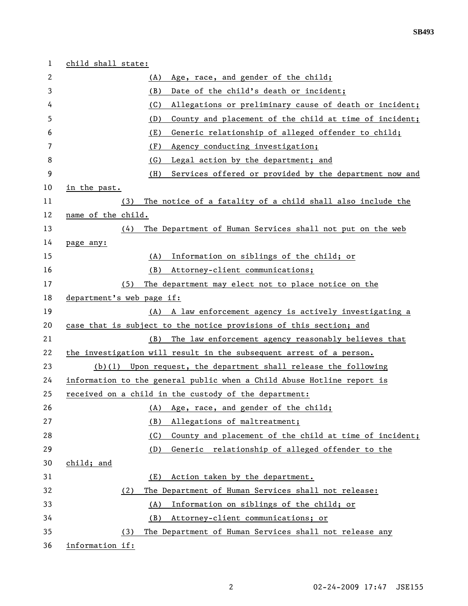| 1  | child shall state:                                                     |
|----|------------------------------------------------------------------------|
| 2  | Age, race, and gender of the child;<br>(A)                             |
| 3  | (B)<br>Date of the child's death or incident;                          |
| 4  | Allegations or preliminary cause of death or incident;<br>(C)          |
| 5  | County and placement of the child at time of incident;<br>(D)          |
| 6  | (E)<br>Generic relationship of alleged offender to child;              |
| 7  | (F)<br>Agency conducting investigation;                                |
| 8  | (G)<br>Legal action by the department; and                             |
| 9  | Services offered or provided by the department now and<br>(H)          |
| 10 | in the past.                                                           |
| 11 | The notice of a fatality of a child shall also include the<br>(3)      |
| 12 | name of the child.                                                     |
| 13 | The Department of Human Services shall not put on the web<br>(4)       |
| 14 | page any:                                                              |
| 15 | Information on siblings of the child; or<br>(A)                        |
| 16 | (B)<br>Attorney-client communications;                                 |
| 17 | The department may elect not to place notice on the<br>(5)             |
| 18 | department's web page if:                                              |
| 19 | (A) A law enforcement agency is actively investigating a               |
| 20 | case that is subject to the notice provisions of this section; and     |
| 21 | (B)<br>The law enforcement agency reasonably believes that             |
| 22 | the investigation will result in the subsequent arrest of a person.    |
| 23 | $(b)(1)$ Upon request, the department shall release the following      |
| 24 | information to the general public when a Child Abuse Hotline report is |
| 25 | received on a child in the custody of the department:                  |
| 26 | Age, race, and gender of the child;<br>(A)                             |
| 27 | (B)<br>Allegations of maltreatment;                                    |
| 28 | County and placement of the child at time of incident;<br>(C)          |
| 29 | (D)<br>Generic relationship of alleged offender to the                 |
| 30 | child; and                                                             |
| 31 | Action taken by the department.<br>(E)                                 |
| 32 | The Department of Human Services shall not release:<br>(2)             |
| 33 | Information on siblings of the child; or<br>(A)                        |
| 34 | (B)<br>Attorney-client communications; or                              |
| 35 | The Department of Human Services shall not release any<br>(3)          |
| 36 | information if:                                                        |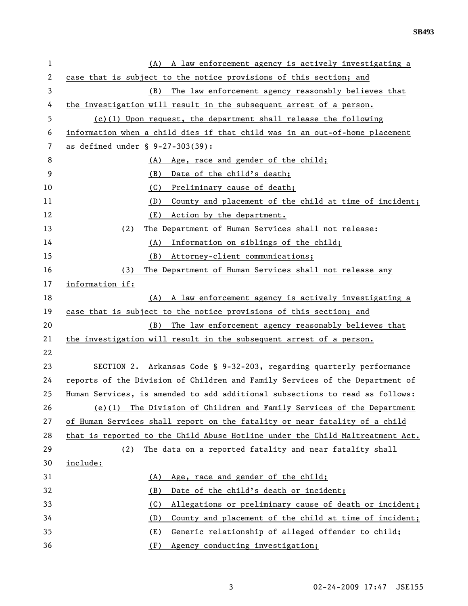**SB493** 

| 1              | (A) A law enforcement agency is actively investigating a                      |
|----------------|-------------------------------------------------------------------------------|
| $\overline{c}$ | case that is subject to the notice provisions of this section; and            |
| 3              | The law enforcement agency reasonably believes that<br>(B)                    |
| 4              | the investigation will result in the subsequent arrest of a person.           |
| 5              | $(c)(1)$ Upon request, the department shall release the following             |
| 6              | information when a child dies if that child was in an out-of-home placement   |
| 7              | as defined under $$ 9-27-303(39)$ :                                           |
| 8              | Age, race and gender of the child;<br>(A)                                     |
| 9              | Date of the child's death;<br>(B)                                             |
| 10             | (C)<br>Preliminary cause of death;                                            |
| 11             | County and placement of the child at time of incident;<br>(D)                 |
| 12             | (E)<br>Action by the department.                                              |
| 13             | The Department of Human Services shall not release:<br>(2)                    |
| 14             | Information on siblings of the child;<br>(A)                                  |
| 15             | Attorney-client communications;<br>(B)                                        |
| 16             | The Department of Human Services shall not release any<br>(3)                 |
| 17             | information if:                                                               |
| 18             | (A) A law enforcement agency is actively investigating a                      |
| 19             | case that is subject to the notice provisions of this section; and            |
| 20             | The law enforcement agency reasonably believes that<br>(B)                    |
| 21             | the investigation will result in the subsequent arrest of a person.           |
| 22             |                                                                               |
| 23             | SECTION 2. Arkansas Code § 9-32-203, regarding quarterly performance          |
| 24             | reports of the Division of Children and Family Services of the Department of  |
| 25             | Human Services, is amended to add additional subsections to read as follows:  |
| 26             | The Division of Children and Family Services of the Department<br>$(e)$ (1)   |
| 27             | of Human Services shall report on the fatality or near fatality of a child    |
| 28             | that is reported to the Child Abuse Hotline under the Child Maltreatment Act. |
| 29             | The data on a reported fatality and near fatality shall<br>(2)                |
| 30             | include:                                                                      |
| 31             | Age, race and gender of the child;<br>(A)                                     |
| 32             | Date of the child's death or incident;<br>(B)                                 |
| 33             | Allegations or preliminary cause of death or incident;<br>(C)                 |
| 34             | County and placement of the child at time of incident;<br>(D)                 |
| 35             | Generic relationship of alleged offender to child;<br>(E)                     |
| 36             | (F)<br>Agency conducting investigation;                                       |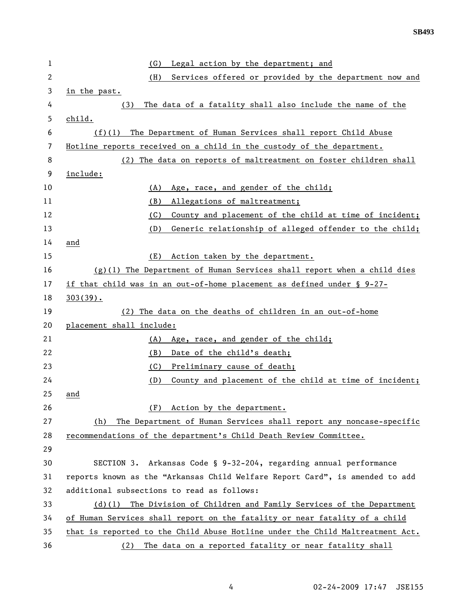| 1            | Legal action by the department; and<br>(G)                                    |
|--------------|-------------------------------------------------------------------------------|
| $\mathbf{2}$ | Services offered or provided by the department now and<br>(H)                 |
| 3            | in the past.                                                                  |
| 4            | The data of a fatality shall also include the name of the<br>(3)              |
| 5            | child.                                                                        |
| 6            | (f)(1) The Department of Human Services shall report Child Abuse              |
| 7            | Hotline reports received on a child in the custody of the department.         |
| 8            | (2) The data on reports of maltreatment on foster children shall              |
| 9            | include:                                                                      |
| 10           | Age, race, and gender of the child;<br>(A)                                    |
| 11           | (B)<br>Allegations of maltreatment;                                           |
| 12           | (C)<br>County and placement of the child at time of incident;                 |
| 13           | (D)<br>Generic relationship of alleged offender to the child;                 |
| 14           | and                                                                           |
| 15           | (E)<br>Action taken by the department.                                        |
| 16           | $(g)(1)$ The Department of Human Services shall report when a child dies      |
| 17           | if that child was in an out-of-home placement as defined under $\S$ 9-27-     |
| 18           | $303(39)$ .                                                                   |
| 19           | (2) The data on the deaths of children in an out-of-home                      |
| 20           | placement shall include:                                                      |
| 21           | Age, race, and gender of the child;<br>(A)                                    |
| 22           | (B)<br>Date of the child's death;                                             |
| 23           | (C)<br>Preliminary cause of death;                                            |
| 24           | (D)<br>County and placement of the child at time of incident;                 |
| 25           | and                                                                           |
| 26           | Action by the department.<br>(F)                                              |
| 27           | The Department of Human Services shall report any noncase-specific<br>(h)     |
| 28           | recommendations of the department's Child Death Review Committee.             |
| 29           |                                                                               |
| 30           | SECTION 3. Arkansas Code § 9-32-204, regarding annual performance             |
| 31           | reports known as the "Arkansas Child Welfare Report Card", is amended to add  |
| 32           | additional subsections to read as follows:                                    |
| 33           | The Division of Children and Family Services of the Department<br>$(d)$ (1)   |
| 34           | of Human Services shall report on the fatality or near fatality of a child    |
| 35           | that is reported to the Child Abuse Hotline under the Child Maltreatment Act. |
| 36           | The data on a reported fatality or near fatality shall<br>(2)                 |